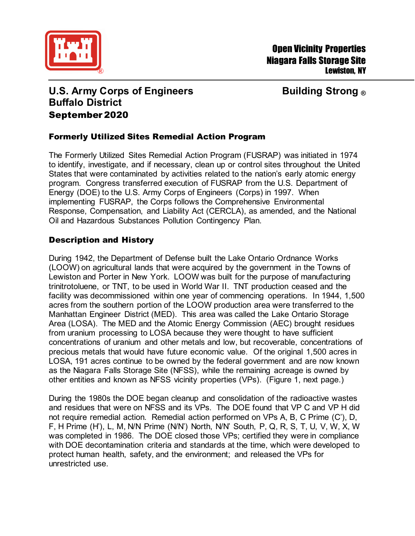

# **U.S. Army Corps of Engineers Building Strong ® Buffalo District** September 2020

## Formerly Utilized Sites Remedial Action Program

The Formerly Utilized Sites Remedial Action Program (FUSRAP) was initiated in 1974 to identify, investigate, and if necessary, clean up or control sites throughout the United States that were contaminated by activities related to the nation's early atomic energy program. Congress transferred execution of FUSRAP from the U.S. Department of Energy (DOE) to the U.S. Army Corps of Engineers (Corps) in 1997. When implementing FUSRAP, the Corps follows the Comprehensive Environmental Response, Compensation, and Liability Act (CERCLA), as amended, and the National Oil and Hazardous Substances Pollution Contingency Plan.

### Description and History

During 1942, the Department of Defense built the Lake Ontario Ordnance Works (LOOW) on agricultural lands that were acquired by the government in the Towns of Lewiston and Porter in New York. LOOW was built for the purpose of manufacturing trinitrotoluene, or TNT, to be used in World War II. TNT production ceased and the facility was decommissioned within one year of commencing operations. In 1944, 1,500 acres from the southern portion of the LOOW production area were transferred to the Manhattan Engineer District (MED). This area was called the Lake Ontario Storage Area (LOSA). The MED and the Atomic Energy Commission (AEC) brought residues from uranium processing to LOSA because they were thought to have sufficient concentrations of uranium and other metals and low, but recoverable, concentrations of precious metals that would have future economic value. Of the original 1,500 acres in LOSA, 191 acres continue to be owned by the federal government and are now known as the Niagara Falls Storage Site (NFSS), while the remaining acreage is owned by other entities and known as NFSS vicinity properties (VPs). (Figure 1, next page.)

During the 1980s the DOE began cleanup and consolidation of the radioactive wastes and residues that were on NFSS and its VPs. The DOE found that VP C and VP H did not require remedial action. Remedial action performed on VPs A, B, C Prime (C'), D, F, H Prime (H'), L, M, N/N Prime (N/N') North, N/N' South, P, Q, R, S, T, U, V, W, X, W was completed in 1986. The DOE closed those VPs; certified they were in compliance with DOE decontamination criteria and standards at the time, which were developed to protect human health, safety, and the environment; and released the VPs for unrestricted use.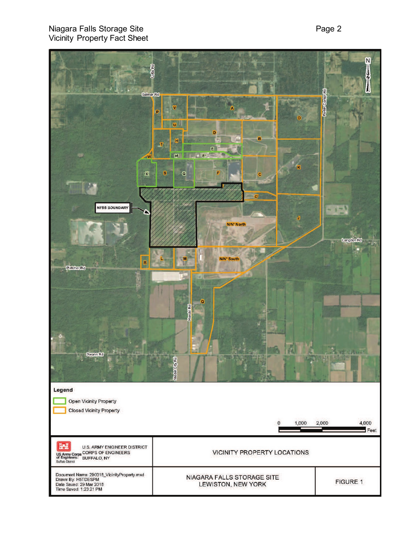### Niagara Falls Storage Site Vicinity Property Fact Sheet

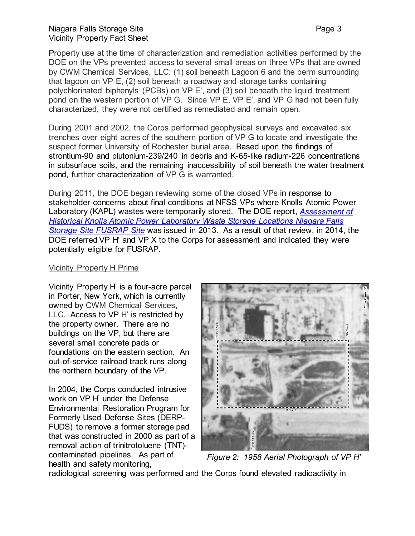Property use at the time of characterization and remediation activities performed by the DOE on the VPs prevented access to several small areas on three VPs that are owned by CWM Chemical Services, LLC: (1) soil beneath Lagoon 6 and the berm surrounding that lagoon on VP E, (2) soil beneath a roadway and storage tanks containing polychlorinated biphenyls (PCBs) on VP E', and (3) soil beneath the liquid treatment pond on the western portion of VP G. Since VP E, VP E', and VP G had not been fully characterized, they were not certified as remediated and remain open.

During 2001 and 2002, the Corps performed geophysical surveys and excavated six trenches over eight acres of the southern portion of VP G to locate and investigate the suspect former University of Rochester burial area. Based upon the findings of strontium-90 and plutonium-239/240 in debris and K-65-like radium-226 concentrations in subsurface soils, and the remaining inaccessibility of soil beneath the water treatment pond, further characterization of VP G is warranted.

During 2011, the DOE began reviewing some of the closed VPs in response to stakeholder concerns about final conditions at NFSS VPs where Knolls Atomic Power Laboratory (KAPL) wastes were temporarily stored. The DOE report, *[Assessment of](https://www.lm.doe.gov/Considered_Sites/Niagara_Falls_Storage_Site_NY_-_NY_17/)  [Historical Knolls Atomic Power Laboratory Waste Storage Locations Niagara Falls](https://www.lm.doe.gov/Considered_Sites/Niagara_Falls_Storage_Site_NY_-_NY_17/)  [Storage Site FUSRAP Site](https://www.lm.doe.gov/Considered_Sites/Niagara_Falls_Storage_Site_NY_-_NY_17/)* was issued in 2013*.* As a result of that review, in 2014, the DOE referred VP H' and VP X to the Corps for assessment and indicated they were potentially eligible for FUSRAP.

#### Vicinity Property H Prime

Vicinity Property H' is a four-acre parcel in Porter, New York, which is currently owned by CWM Chemical Services, LLC. Access to VP H' is restricted by the property owner. There are no buildings on the VP, but there are several small concrete pads or foundations on the eastern section. An out-of-service railroad track runs along the northern boundary of the VP.

In 2004, the Corps conducted intrusive work on VP H' under the Defense Environmental Restoration Program for Formerly Used Defense Sites (DERP-FUDS) to remove a former storage pad that was constructed in 2000 as part of a removal action of trinitrotoluene (TNT) contaminated pipelines. As part of health and safety monitoring,



*Figure 2: 1958 Aerial Photograph of VP H'*

radiological screening was performed and the Corps found elevated radioactivity in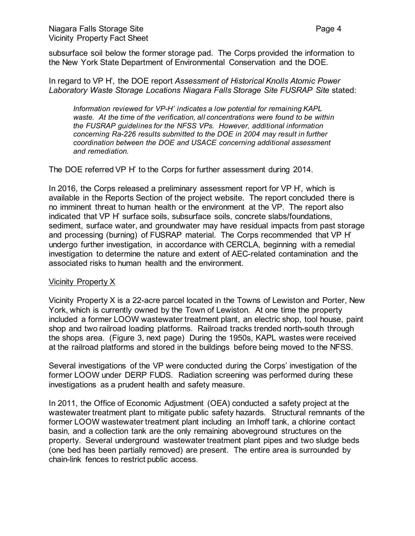subsurface soil below the former storage pad. The Corps provided the information to the New York State Department of Environmental Conservation and the DOE.

In regard to VP H', the DOE report *Assessment of Historical Knolls Atomic Power Laboratory Waste Storage Locations Niagara Falls Storage Site FUSRAP Site* stated:

*Information reviewed for VP-H' indicates a low potential for remaining KAPL waste. At the time of the verification, all concentrations were found to be within the FUSRAP guidelines for the NFSS VPs. However, additional information concerning Ra-226 results submitted to the DOE in 2004 may result in further coordination between the DOE and USACE concerning additional assessment and remediation.* 

The DOE referred VP H' to the Corps for further assessment during 2014.

In 2016, the Corps released a preliminary assessment report for VP H', which is available in the Reports Section of the project website. The report concluded there is no imminent threat to human health or the environment at the VP. The report also indicated that VP H' surface soils, subsurface soils, concrete slabs/foundations, sediment, surface water, and groundwater may have residual impacts from past storage and processing (burning) of FUSRAP material. The Corps recommended that VP H' undergo further investigation, in accordance with CERCLA, beginning with a remedial investigation to determine the nature and extent of AEC-related contamination and the associated risks to human health and the environment.

#### Vicinity Property X

Vicinity Property X is a 22-acre parcel located in the Towns of Lewiston and Porter, New York, which is currently owned by the Town of Lewiston. At one time the property included a former LOOW wastewater treatment plant, an electric shop, tool house, paint shop and two railroad loading platforms. Railroad tracks trended north-south through the shops area. (Figure 3, next page) During the 1950s, KAPL wastes were received at the railroad platforms and stored in the buildings before being moved to the NFSS.

Several investigations of the VP were conducted during the Corps' investigation of the former LOOW under DERP FUDS. Radiation screening was performed during these investigations as a prudent health and safety measure.

In 2011, the Office of Economic Adjustment (OEA) conducted a safety project at the wastewater treatment plant to mitigate public safety hazards. Structural remnants of the former LOOW wastewater treatment plant including an Imhoff tank, a chlorine contact basin, and a collection tank are the only remaining aboveground structures on the property. Several underground wastewater treatment plant pipes and two sludge beds (one bed has been partially removed) are present. The entire area is surrounded by chain-link fences to restrict public access.